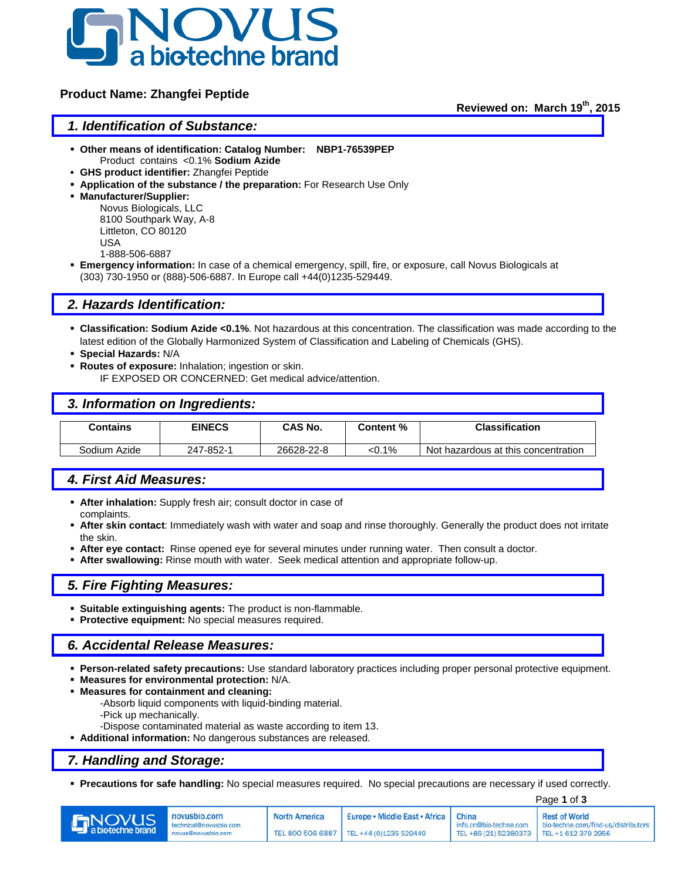

# **Product Name: Zhangfei Peptide**

**Reviewed on: March 19th, 2015**

## *1. Identification of Substance:*

- **Other means of identification: Catalog Number: NBP1-76539PEP** Product contains <0.1% **Sodium Azide**
- **GHS product identifier:** Zhangfei Peptide
- **Application of the substance / the preparation:** For Research Use Only
- **Manufacturer/Supplier:**

Novus Biologicals, LLC 8100 Southpark Way, A-8 Littleton, CO 80120 USA 1-888-506-6887

 **Emergency information:** In case of a chemical emergency, spill, fire, or exposure, call Novus Biologicals at (303) 730-1950 or (888)-506-6887. In Europe call +44(0)1235-529449.

## *2. Hazards Identification:*

- **Classification: Sodium Azide <0.1%**. Not hazardous at this concentration. The classification was made according to the latest edition of the Globally Harmonized System of Classification and Labeling of Chemicals (GHS).
- **Special Hazards:** N/A
- **Routes of exposure:** Inhalation; ingestion or skin.

IF EXPOSED OR CONCERNED: Get medical advice/attention.

## *3. Information on Ingredients:*

| Contains     | <b>EINECS</b> | CAS No.<br>Content % |       | <b>Classification</b>               |
|--------------|---------------|----------------------|-------|-------------------------------------|
|              |               |                      |       |                                     |
| Sodium Azide | 247-852-1     | 26628-22-8           | <0.1% | Not hazardous at this concentration |

# *4. First Aid Measures:*

- **After inhalation:** Supply fresh air; consult doctor in case of complaints.
- **After skin contact**: Immediately wash with water and soap and rinse thoroughly. Generally the product does not irritate the skin.
- **After eye contact:** Rinse opened eye for several minutes under running water. Then consult a doctor.
- **After swallowing:** Rinse mouth with water. Seek medical attention and appropriate follow-up.

#### *5. Fire Fighting Measures:*

- **Suitable extinguishing agents:** The product is non-flammable.
- **Protective equipment:** No special measures required.

## *6. Accidental Release Measures:*

- **Person-related safety precautions:** Use standard laboratory practices including proper personal protective equipment.
- **Measures for environmental protection:** N/A.
- **Measures for containment and cleaning:**
	- -Absorb liquid components with liquid-binding material.
	- -Pick up mechanically.
	- -Dispose contaminated material as waste according to item 13.
- **Additional information:** No dangerous substances are released.

## *7. Handling and Storage:*

**Precautions for safe handling:** No special measures required. No special precautions are necessary if used correctly.

|                                    |                                                              |                      | Page 1 of 3                                                                        |                                                                       |                                                             |
|------------------------------------|--------------------------------------------------------------|----------------------|------------------------------------------------------------------------------------|-----------------------------------------------------------------------|-------------------------------------------------------------|
| <b>ENOVUS</b><br>a biotechne brand | novusbio.com<br>technical@novusbio.com<br>novus@novusbio.com | <b>North America</b> | Europe • Middle East • Africa   China<br>TEL 800 506 6887   TEL +44 (0)1235 529449 | info.cn@bio-techne.com<br>TEL +86 (21) 52380373   TEL +1 612 379 2956 | <b>Rest of World</b><br>bio-techne.com/find-us/distributors |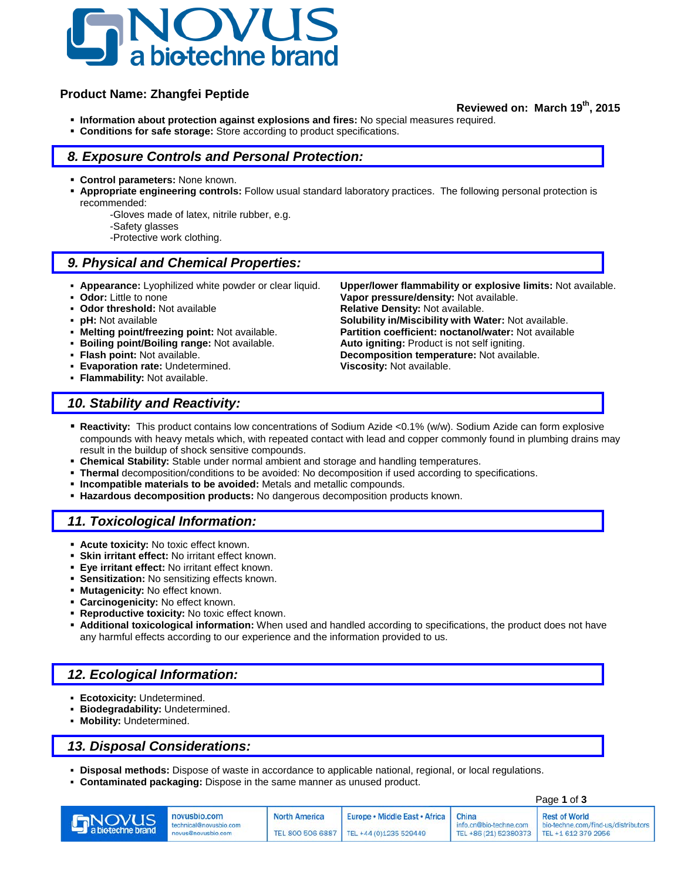

# **Product Name: Zhangfei Peptide**

## **Reviewed on: March 19th, 2015**

- **Information about protection against explosions and fires:** No special measures required.
- **Conditions for safe storage:** Store according to product specifications.

# *8. Exposure Controls and Personal Protection:*

- **Control parameters:** None known.
- **Appropriate engineering controls:** Follow usual standard laboratory practices. The following personal protection is recommended:
	- -Gloves made of latex, nitrile rubber, e.g.
	- -Safety glasses
	- -Protective work clothing.

# *9. Physical and Chemical Properties:*

- 
- 
- 
- 
- 
- **Boiling point/Boiling range: Not available.**<br> **Flash point: Not available.**
- 
- **Evaporation rate:** Undetermined. **Viscosity:** Not available.
- **Flammability:** Not available.

 **Appearance:** Lyophilized white powder or clear liquid. **Upper/lower flammability or explosive limits:** Not available. **Odor:** Little to none **Vapor pressure/density:** Not available.<br> **Odor threshold:** Not available **Constant Relative Density:** Not available. **Relative Density: Not available. pH:** Not available **phenomic in the Solubility in/Miscibility with Water:** Not available.<br>**Nelting point/freezing point:** Not available. **Partition coefficient: noctanol/water:** Not available **Partition coefficient: noctanol/water:** Not available.<br>**Auto igniting:** Product is not self igniting. **Flash point:** Not available. **Decomposition temperature:** Not available.

# *10. Stability and Reactivity:*

- **Reactivity:** This product contains low concentrations of Sodium Azide <0.1% (w/w). Sodium Azide can form explosive compounds with heavy metals which, with repeated contact with lead and copper commonly found in plumbing drains may result in the buildup of shock sensitive compounds.
- **Chemical Stability:** Stable under normal ambient and storage and handling temperatures.
- **Thermal** decomposition/conditions to be avoided: No decomposition if used according to specifications.
- **Incompatible materials to be avoided:** Metals and metallic compounds.
- **Hazardous decomposition products:** No dangerous decomposition products known.

# *11. Toxicological Information:*

- **Acute toxicity:** No toxic effect known.
- **Skin irritant effect:** No irritant effect known.
- **Eye irritant effect:** No irritant effect known.
- **Sensitization:** No sensitizing effects known.
- **Mutagenicity:** No effect known.
- **Carcinogenicity:** No effect known.
- **Reproductive toxicity:** No toxic effect known.
- **Additional toxicological information:** When used and handled according to specifications, the product does not have any harmful effects according to our experience and the information provided to us.

# *12. Ecological Information:*

- **Ecotoxicity:** Undetermined.
- **Biodegradability:** Undetermined.
- **Mobility:** Undetermined.

# *13. Disposal Considerations:*

- **Disposal methods:** Dispose of waste in accordance to applicable national, regional, or local regulations.
- **Contaminated packaging:** Dispose in the same manner as unused product.

|                    |                                                              |                      | Page 1 of 3                                                                        |                                                                     |                                                             |
|--------------------|--------------------------------------------------------------|----------------------|------------------------------------------------------------------------------------|---------------------------------------------------------------------|-------------------------------------------------------------|
| <b>Environment</b> | novusbio.com<br>technical@novusbio.com<br>novus@novusbio.com | <b>North America</b> | Europe • Middle East • Africa   China<br>TEL 800 506 6887   TEL +44 (0)1235 529449 | info.cn@bio-techne.com<br>TEL +86 (21) 52380373 TEL +1 612 379 2956 | <b>Rest of World</b><br>bio-techne.com/find-us/distributors |